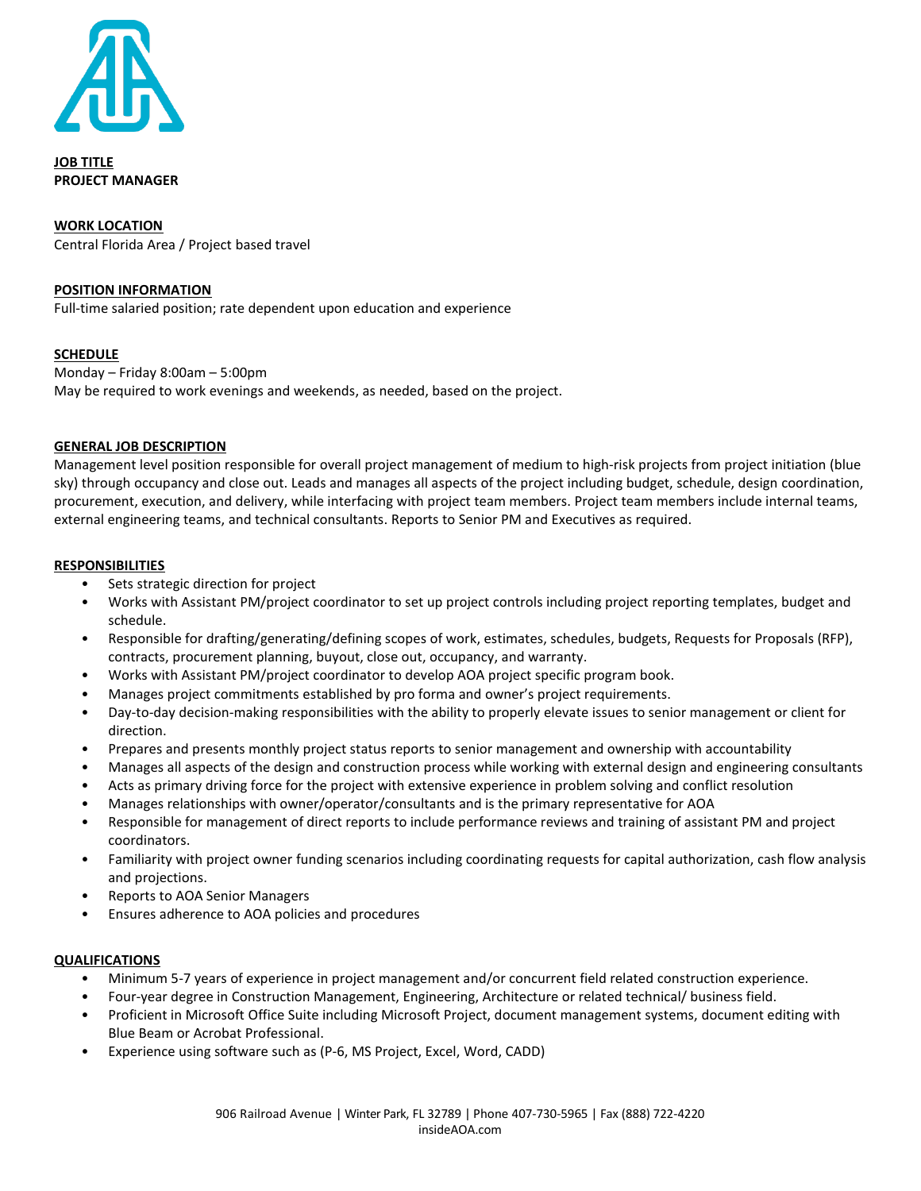

**JOB TITLE PROJECT MANAGER**

#### **WORK LOCATION**

Central Florida Area / Project based travel

#### **POSITION INFORMATION**

Full-time salaried position; rate dependent upon education and experience

## **SCHEDULE**

Monday – Friday 8:00am – 5:00pm May be required to work evenings and weekends, as needed, based on the project.

#### **GENERAL JOB DESCRIPTION**

Management level position responsible for overall project management of medium to high-risk projects from project initiation (blue sky) through occupancy and close out. Leads and manages all aspects of the project including budget, schedule, design coordination, procurement, execution, and delivery, while interfacing with project team members. Project team members include internal teams, external engineering teams, and technical consultants. Reports to Senior PM and Executives as required.

#### **RESPONSIBILITIES**

- Sets strategic direction for project
- Works with Assistant PM/project coordinator to set up project controls including project reporting templates, budget and schedule.
- Responsible for drafting/generating/defining scopes of work, estimates, schedules, budgets, Requests for Proposals (RFP), contracts, procurement planning, buyout, close out, occupancy, and warranty.
- Works with Assistant PM/project coordinator to develop AOA project specific program book.
- Manages project commitments established by pro forma and owner's project requirements.
- Day-to-day decision-making responsibilities with the ability to properly elevate issues to senior management or client for direction.
- Prepares and presents monthly project status reports to senior management and ownership with accountability
- Manages all aspects of the design and construction process while working with external design and engineering consultants
- Acts as primary driving force for the project with extensive experience in problem solving and conflict resolution
- Manages relationships with owner/operator/consultants and is the primary representative for AOA
- Responsible for management of direct reports to include performance reviews and training of assistant PM and project coordinators.
- Familiarity with project owner funding scenarios including coordinating requests for capital authorization, cash flow analysis and projections.
- Reports to AOA Senior Managers
- Ensures adherence to AOA policies and procedures

## **QUALIFICATIONS**

- Minimum 5-7 years of experience in project management and/or concurrent field related construction experience.
- Four-year degree in Construction Management, Engineering, Architecture or related technical/ business field.
- Proficient in Microsoft Office Suite including Microsoft Project, document management systems, document editing with Blue Beam or Acrobat Professional.
- Experience using software such as (P-6, MS Project, Excel, Word, CADD)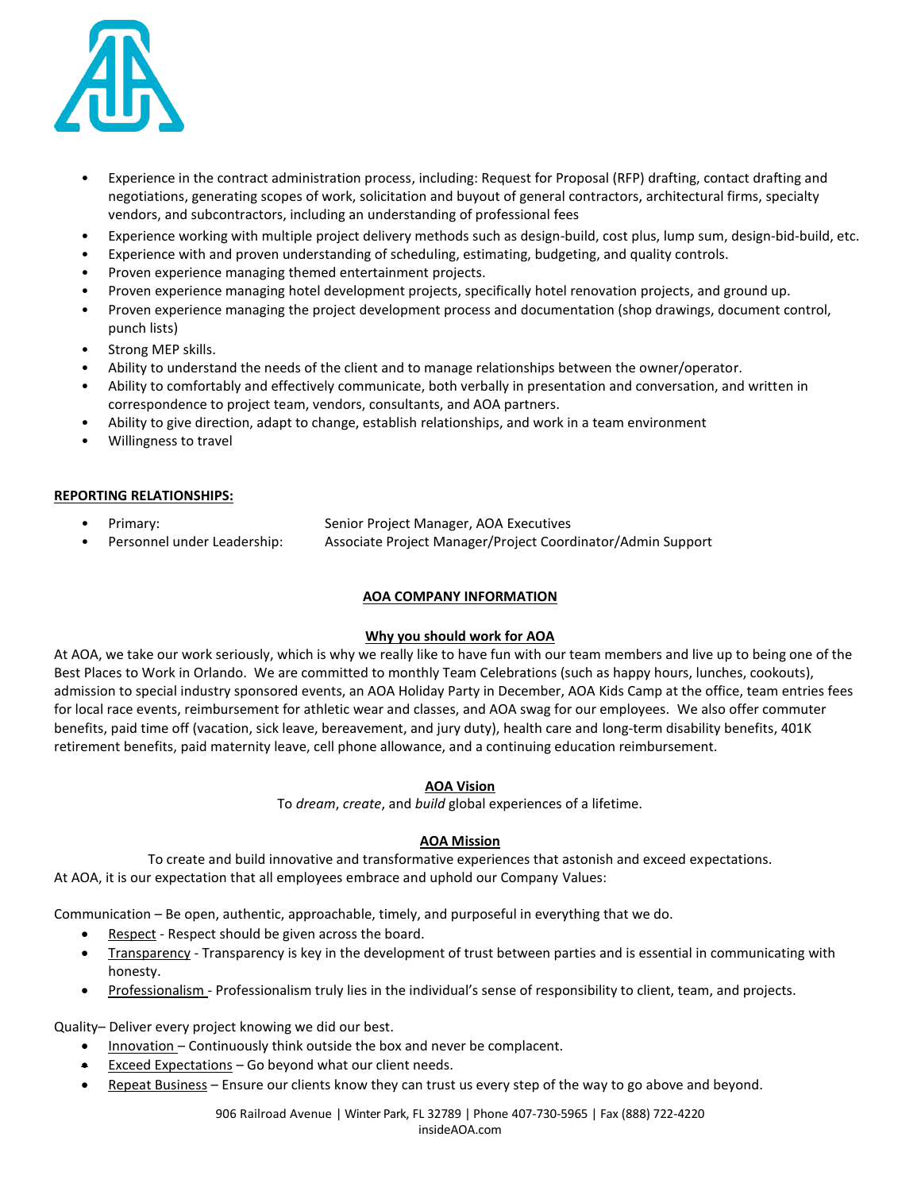

- Experience in the contract administration process, including: Request for Proposal (RFP) drafting, contact drafting and negotiations, generating scopes of work, solicitation and buyout of general contractors, architectural firms, specialty vendors, and subcontractors, including an understanding of professional fees
- Experience working with multiple project delivery methods such as design-build, cost plus, lump sum, design-bid-build, etc.
- Experience with and proven understanding of scheduling, estimating, budgeting, and quality controls.
- Proven experience managing themed entertainment projects.
- Proven experience managing hotel development projects, specifically hotel renovation projects, and ground up.
- Proven experience managing the project development process and documentation (shop drawings, document control, punch lists)
- Strong MEP skills.
- Ability to understand the needs of the client and to manage relationships between the owner/operator.
- Ability to comfortably and effectively communicate, both verbally in presentation and conversation, and written in correspondence to project team, vendors, consultants, and AOA partners.
- Ability to give direction, adapt to change, establish relationships, and work in a team environment
- Willingness to travel

## **REPORTING RELATIONSHIPS:**

- Primary: Senior Project Manager, AOA Executives
- Personnel under Leadership: Associate Project Manager/Project Coordinator/Admin Support

# **AOA COMPANY INFORMATION**

## **Why you should work for AOA**

At AOA, we take our work seriously, which is why we really like to have fun with our team members and live up to being one of the Best Places to Work in Orlando. We are committed to monthly Team Celebrations (such as happy hours, lunches, cookouts), admission to special industry sponsored events, an AOA Holiday Party in December, AOA Kids Camp at the office, team entries fees for local race events, reimbursement for athletic wear and classes, and AOA swag for our employees. We also offer commuter benefits, paid time off (vacation, sick leave, bereavement, and jury duty), health care and long-term disability benefits, 401K retirement benefits, paid maternity leave, cell phone allowance, and a continuing education reimbursement.

# **AOA Vision**

To *dream*, *create*, and *build* global experiences of a lifetime.

## **AOA Mission**

To create and build innovative and transformative experiences that astonish and exceed expectations. At AOA, it is our expectation that all employees embrace and uphold our Company Values:

Communication – Be open, authentic, approachable, timely, and purposeful in everything that we do.

- Respect Respect should be given across the board.
- Transparency Transparency is key in the development of trust between parties and is essential in communicating with honesty.
- Professionalism Professionalism truly lies in the individual's sense of responsibility to client, team, and projects.

Quality– Deliver every project knowing we did our best.

- Innovation Continuously think outside the box and never be complacent.
- Exceed Expectations Go beyond what our client needs.
- Repeat Business Ensure our clients know they can trust us every step of the way to go above and beyond.